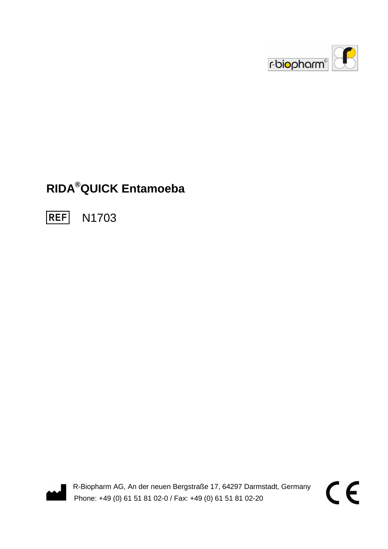

# **RIDA®QUICK Entamoeba**

**REF** N1703



R-Biopharm AG, An der neuen Bergstraße 17, 64297 Darmstadt, Germany Phone: +49 (0) 61 51 81 02-0 / Fax: +49 (0) 61 51 81 02-20

CE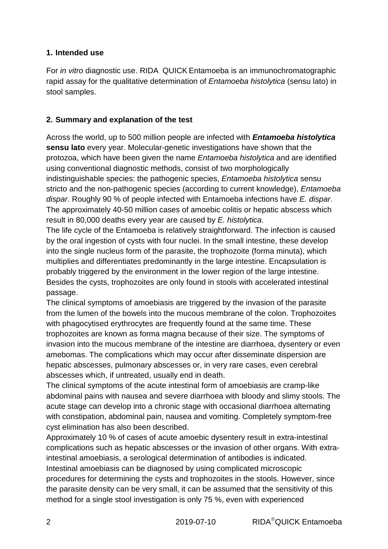#### **1. Intended use**

For in vitro diagnostic use,  $RIDA^{\circledR}QUICK$  Entamoeba is an immunochromatographic rapid assay for the qualitative determination of Entamoeba histolytica (sensu lato) in stool samples.

### **2. Summary and explanation of the test**

Across the world, up to 500 million people are infected with **Entamoeba histolytica sensu lato** every year. Molecular-genetic investigations have shown that the protozoa, which have been given the name Entamoeba histolytica and are identified using conventional diagnostic methods, consist of two morphologically indistinguishable species: the pathogenic species, Entamoeba histolytica sensu stricto and the non-pathogenic species (according to current knowledge), Entamoeba dispar. Roughly 90 % of people infected with Entamoeba infections have E. dispar. The approximately 40-50 million cases of amoebic colitis or hepatic abscess which result in 80,000 deaths every year are caused by E. histolytica.

The life cycle of the Entamoeba is relatively straightforward. The infection is caused by the oral ingestion of cysts with four nuclei. In the small intestine, these develop into the single nucleus form of the parasite, the trophozoite (forma minuta), which multiplies and differentiates predominantly in the large intestine. Encapsulation is probably triggered by the environment in the lower region of the large intestine. Besides the cysts, trophozoites are only found in stools with accelerated intestinal passage.

The clinical symptoms of amoebiasis are triggered by the invasion of the parasite from the lumen of the bowels into the mucous membrane of the colon. Trophozoites with phagocytised erythrocytes are frequently found at the same time. These trophozoites are known as forma magna because of their size. The symptoms of invasion into the mucous membrane of the intestine are diarrhoea, dysentery or even amebomas. The complications which may occur after disseminate dispersion are hepatic abscesses, pulmonary abscesses or, in very rare cases, even cerebral abscesses which, if untreated, usually end in death.

The clinical symptoms of the acute intestinal form of amoebiasis are cramp-like abdominal pains with nausea and severe diarrhoea with bloody and slimy stools. The acute stage can develop into a chronic stage with occasional diarrhoea alternating with constipation, abdominal pain, nausea and vomiting. Completely symptom-free cyst elimination has also been described.

Approximately 10 % of cases of acute amoebic dysentery result in extra-intestinal complications such as hepatic abscesses or the invasion of other organs. With extraintestinal amoebiasis, a serological determination of antibodies is indicated. Intestinal amoebiasis can be diagnosed by using complicated microscopic procedures for determining the cysts and trophozoites in the stools. However, since the parasite density can be very small, it can be assumed that the sensitivity of this method for a single stool investigation is only 75 %, even with experienced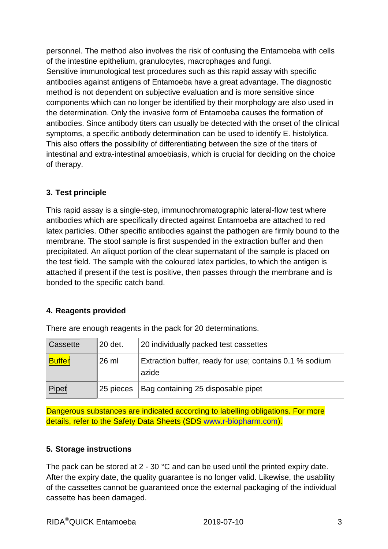personnel. The method also involves the risk of confusing the Entamoeba with cells of the intestine epithelium, granulocytes, macrophages and fungi. Sensitive immunological test procedures such as this rapid assay with specific antibodies against antigens of Entamoeba have a great advantage. The diagnostic method is not dependent on subjective evaluation and is more sensitive since components which can no longer be identified by their morphology are also used in the determination. Only the invasive form of Entamoeba causes the formation of antibodies. Since antibody titers can usually be detected with the onset of the clinical symptoms, a specific antibody determination can be used to identify E. histolytica. This also offers the possibility of differentiating between the size of the titers of intestinal and extra-intestinal amoebiasis, which is crucial for deciding on the choice of therapy.

#### **3. Test principle**

This rapid assay is a single-step, immunochromatographic lateral-flow test where antibodies which are specifically directed against Entamoeba are attached to red latex particles. Other specific antibodies against the pathogen are firmly bound to the membrane. The stool sample is first suspended in the extraction buffer and then precipitated. An aliquot portion of the clear supernatant of the sample is placed on the test field. The sample with the coloured latex particles, to which the antigen is attached if present if the test is positive, then passes through the membrane and is bonded to the specific catch band.

#### **4. Reagents provided**

| Cassette      | 20 det.   | 20 individually packed test cassettes                            |
|---------------|-----------|------------------------------------------------------------------|
| <b>Buffer</b> | $26$ ml   | Extraction buffer, ready for use; contains 0.1 % sodium<br>azide |
| Pipet         | 25 pieces | Bag containing 25 disposable pipet                               |

There are enough reagents in the pack for 20 determinations.

Dangerous substances are indicated according to labelling obligations. For more details, refer to the Safety Data Sheets (SDS www.r-biopharm.com).

#### **5. Storage instructions**

The pack can be stored at 2 - 30 °C and can be used until the printed expiry date. After the expiry date, the quality guarantee is no longer valid. Likewise, the usability of the cassettes cannot be guaranteed once the external packaging of the individual cassette has been damaged.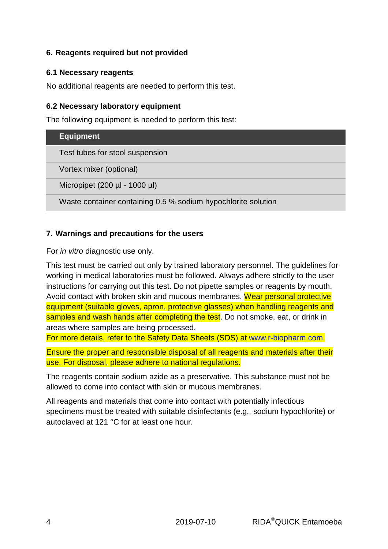#### **6. Reagents required but not provided**

#### **6.1 Necessary reagents**

No additional reagents are needed to perform this test.

#### **6.2 Necessary laboratory equipment**

The following equipment is needed to perform this test:

| <b>Equipment</b>                                              |
|---------------------------------------------------------------|
| Test tubes for stool suspension                               |
| Vortex mixer (optional)                                       |
| Micropipet (200 $\mu$ I - 1000 $\mu$ I)                       |
| Waste container containing 0.5 % sodium hypochlorite solution |

#### **7. Warnings and precautions for the users**

For in vitro diagnostic use only.

This test must be carried out only by trained laboratory personnel. The guidelines for working in medical laboratories must be followed. Always adhere strictly to the user instructions for carrying out this test. Do not pipette samples or reagents by mouth. Avoid contact with broken skin and mucous membranes. Wear personal protective equipment (suitable gloves, apron, protective glasses) when handling reagents and samples and wash hands after completing the test. Do not smoke, eat, or drink in areas where samples are being processed.

For more details, refer to the Safety Data Sheets (SDS) at www.r-biopharm.com.

Ensure the proper and responsible disposal of all reagents and materials after their use. For disposal, please adhere to national regulations.

The reagents contain sodium azide as a preservative. This substance must not be allowed to come into contact with skin or mucous membranes.

All reagents and materials that come into contact with potentially infectious specimens must be treated with suitable disinfectants (e.g., sodium hypochlorite) or autoclaved at 121 °C for at least one hour.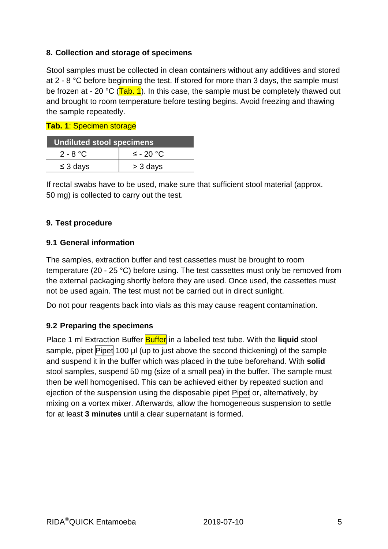#### **8. Collection and storage of specimens**

Stool samples must be collected in clean containers without any additives and stored at 2 - 8 °C before beginning the test. If stored for more than 3 days, the sample must be frozen at - 20 °C ( $\overline{\text{Tab. 1}}$ ). In this case, the sample must be completely thawed out and brought to room temperature before testing begins. Avoid freezing and thawing the sample repeatedly.

**Tab. 1**: Specimen storage

| <b>Undiluted stool specimens</b> |                |  |  |
|----------------------------------|----------------|--|--|
| 2 - 8 °C                         | $\leq$ - 20 °C |  |  |
| $\leq$ 3 days                    | > 3 days       |  |  |

If rectal swabs have to be used, make sure that sufficient stool material (approx. 50 mg) is collected to carry out the test.

#### **9. Test procedure**

#### **9.1 General information**

The samples, extraction buffer and test cassettes must be brought to room temperature (20 - 25 °C) before using. The test cassettes must only be removed from the external packaging shortly before they are used. Once used, the cassettes must not be used again. The test must not be carried out in direct sunlight.

Do not pour reagents back into vials as this may cause reagent contamination.

#### **9.2 Preparing the specimens**

Place 1 ml Extraction Buffer **Buffer** in a labelled test tube. With the **liquid** stool sample, pipet Pipet 100 µl (up to just above the second thickening) of the sample and suspend it in the buffer which was placed in the tube beforehand. With **solid**  stool samples, suspend 50 mg (size of a small pea) in the buffer. The sample must then be well homogenised. This can be achieved either by repeated suction and ejection of the suspension using the disposable pipet Pipet or, alternatively, by mixing on a vortex mixer. Afterwards, allow the homogeneous suspension to settle for at least **3 minutes** until a clear supernatant is formed.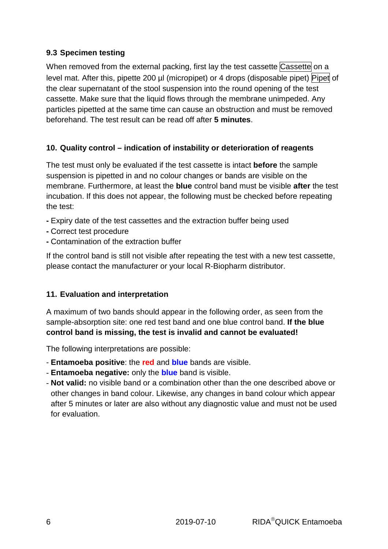#### **9.3 Specimen testing**

When removed from the external packing, first lay the test cassette Cassette on a level mat. After this, pipette 200 µl (micropipet) or 4 drops (disposable pipet) Pipet of the clear supernatant of the stool suspension into the round opening of the test cassette. Make sure that the liquid flows through the membrane unimpeded. Any particles pipetted at the same time can cause an obstruction and must be removed beforehand. The test result can be read off after **5 minutes**.

#### **10. Quality control – indication of instability or deterioration of reagents**

The test must only be evaluated if the test cassette is intact **before** the sample suspension is pipetted in and no colour changes or bands are visible on the membrane. Furthermore, at least the **blue** control band must be visible **after** the test incubation. If this does not appear, the following must be checked before repeating the test:

- Expiry date of the test cassettes and the extraction buffer being used
- Correct test procedure
- Contamination of the extraction buffer

If the control band is still not visible after repeating the test with a new test cassette, please contact the manufacturer or your local R-Biopharm distributor.

#### **11. Evaluation and interpretation**

A maximum of two bands should appear in the following order, as seen from the sample-absorption site: one red test band and one blue control band. **If the blue control band is missing, the test is invalid and cannot be evaluated!**

The following interpretations are possible:

- **Entamoeba positive**: the **red** and **blue** bands are visible.
- **Entamoeba negative:** only the **blue** band is visible.
- **Not valid:** no visible band or a combination other than the one described above or other changes in band colour. Likewise, any changes in band colour which appear after 5 minutes or later are also without any diagnostic value and must not be used for evaluation.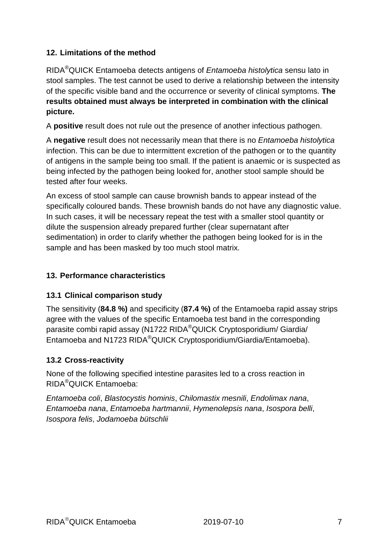## **12. Limitations of the method**

RIDA<sup>®</sup>QUICK Entamoeba detects antigens of *Entamoeba histolytica* sensu lato in stool samples. The test cannot be used to derive a relationship between the intensity of the specific visible band and the occurrence or severity of clinical symptoms. **The results obtained must always be interpreted in combination with the clinical picture.** 

A **positive** result does not rule out the presence of another infectious pathogen.

A **negative** result does not necessarily mean that there is no Entamoeba histolytica infection. This can be due to intermittent excretion of the pathogen or to the quantity of antigens in the sample being too small. If the patient is anaemic or is suspected as being infected by the pathogen being looked for, another stool sample should be tested after four weeks.

An excess of stool sample can cause brownish bands to appear instead of the specifically coloured bands. These brownish bands do not have any diagnostic value. In such cases, it will be necessary repeat the test with a smaller stool quantity or dilute the suspension already prepared further (clear supernatant after sedimentation) in order to clarify whether the pathogen being looked for is in the sample and has been masked by too much stool matrix.

#### **13. Performance characteristics**

#### **13.1 Clinical comparison study**

The sensitivity (**84.8 %)** and specificity (**87.4 %)** of the Entamoeba rapid assay strips agree with the values of the specific Entamoeba test band in the corresponding parasite combi rapid assay (N1722 RIDA®QUICK Cryptosporidium/ Giardia/ Entamoeba and N1723 RIDA®QUICK Cryptosporidium/Giardia/Entamoeba).

#### **13.2 Cross-reactivity**

None of the following specified intestine parasites led to a cross reaction in RIDA®QUICK Entamoeba:

Entamoeba coli, Blastocystis hominis, Chilomastix mesnili, Endolimax nana, Entamoeba nana, Entamoeba hartmannii, Hymenolepsis nana, Isospora belli, Isospora felis, Jodamoeba bütschlii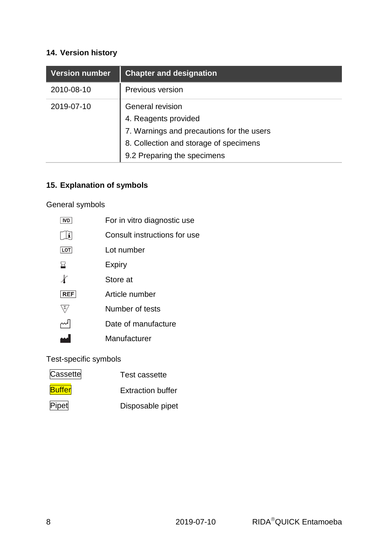# **14. Version history**

| <b>Version number</b> | <b>Chapter and designation</b>                                                                                                                                 |
|-----------------------|----------------------------------------------------------------------------------------------------------------------------------------------------------------|
| 2010-08-10            | Previous version                                                                                                                                               |
| 2019-07-10            | General revision<br>4. Reagents provided<br>7. Warnings and precautions for the users<br>8. Collection and storage of specimens<br>9.2 Preparing the specimens |

# **15. Explanation of symbols**

General symbols

| <b>IVD</b>     | For in vitro diagnostic use  |
|----------------|------------------------------|
| $ \mathbf{i} $ | Consult instructions for use |
| LOT            | Lot number                   |
| ⊠              | <b>Expiry</b>                |
|                | Store at                     |
| <b>REF</b>     | Article number               |
|                |                              |
| Σ,             | Number of tests              |
|                | Date of manufacture          |
|                | Manufacturer                 |

Test-specific symbols

| Cassette      | Test cassette            |
|---------------|--------------------------|
| <b>Buffer</b> | <b>Extraction buffer</b> |
| Pipet         | Disposable pipet         |